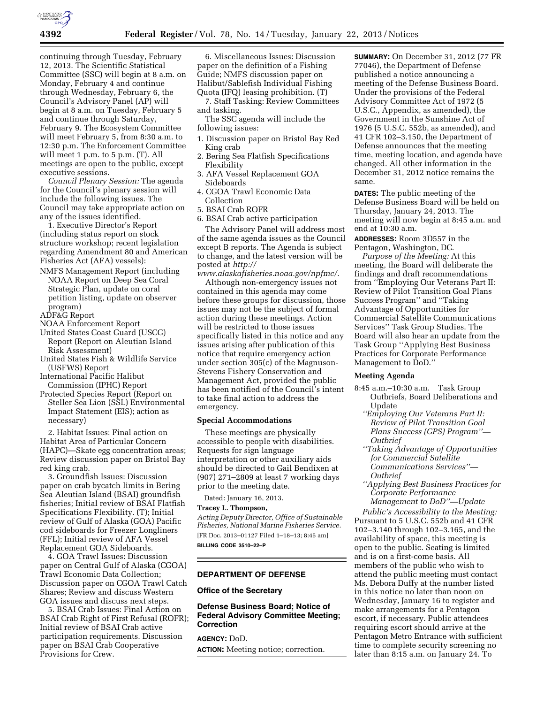

continuing through Tuesday, February 12, 2013. The Scientific Statistical Committee (SSC) will begin at 8 a.m. on Monday, February 4 and continue through Wednesday, February 6, the Council's Advisory Panel (AP) will begin at 8 a.m. on Tuesday, February 5 and continue through Saturday, February 9. The Ecosystem Committee will meet February 5, from 8:30 a.m. to 12:30 p.m. The Enforcement Committee will meet 1 p.m. to 5 p.m. (T). All meetings are open to the public, except executive sessions.

*Council Plenary Session:* The agenda for the Council's plenary session will include the following issues. The Council may take appropriate action on any of the issues identified.

1. Executive Director's Report (including status report on stock structure workshop; recent legislation regarding Amendment 80 and American Fisheries Act (AFA) vessels):

NMFS Management Report (including NOAA Report on Deep Sea Coral Strategic Plan, update on coral petition listing, update on observer program)

ADF&G Report

- NOAA Enforcement Report
- United States Coast Guard (USCG) Report (Report on Aleutian Island Risk Assessment)
- United States Fish & Wildlife Service (USFWS) Report
- International Pacific Halibut Commission (IPHC) Report
- Protected Species Report (Report on Steller Sea Lion (SSL) Environmental Impact Statement (EIS); action as necessary)

2. Habitat Issues: Final action on Habitat Area of Particular Concern (HAPC)—Skate egg concentration areas; Review discussion paper on Bristol Bay red king crab.

3. Groundfish Issues: Discussion paper on crab bycatch limits in Bering Sea Aleutian Island (BSAI) groundfish fisheries; Initial review of BSAI Flatfish Specifications Flexibility. (T); Initial review of Gulf of Alaska (GOA) Pacific cod sideboards for Freezer Longliners (FFL); Initial review of AFA Vessel Replacement GOA Sideboards.

4. GOA Trawl Issues: Discussion paper on Central Gulf of Alaska (CGOA) Trawl Economic Data Collection; Discussion paper on CGOA Trawl Catch Shares; Review and discuss Western GOA issues and discuss next steps.

5. BSAI Crab Issues: Final Action on BSAI Crab Right of First Refusal (ROFR); Initial review of BSAI Crab active participation requirements. Discussion paper on BSAI Crab Cooperative Provisions for Crew.

6. Miscellaneous Issues: Discussion paper on the definition of a Fishing Guide; NMFS discussion paper on Halibut/Sablefish Individual Fishing Quota (IFQ) leasing prohibition. (T)

7. Staff Tasking: Review Committees and tasking.

The SSC agenda will include the following issues:

- 1. Discussion paper on Bristol Bay Red King crab
- 2. Bering Sea Flatfish Specifications Flexibility
- 3. AFA Vessel Replacement GOA Sideboards
- 4. CGOA Trawl Economic Data Collection
- 5. BSAI Crab ROFR
- 6. BSAI Crab active participation

The Advisory Panel will address most of the same agenda issues as the Council except B reports. The Agenda is subject to change, and the latest version will be posted at *[http://](http://www.alaskafisheries.noaa.gov/npfmc/)* 

*[www.alaskafisheries.noaa.gov/npfmc/.](http://www.alaskafisheries.noaa.gov/npfmc/)* 

Although non-emergency issues not contained in this agenda may come before these groups for discussion, those issues may not be the subject of formal action during these meetings. Action will be restricted to those issues specifically listed in this notice and any issues arising after publication of this notice that require emergency action under section 305(c) of the Magnuson-Stevens Fishery Conservation and Management Act, provided the public has been notified of the Council's intent to take final action to address the emergency.

## **Special Accommodations**

These meetings are physically accessible to people with disabilities. Requests for sign language interpretation or other auxiliary aids should be directed to Gail Bendixen at (907) 271–2809 at least 7 working days prior to the meeting date.

Dated: January 16, 2013.

# **Tracey L. Thompson,**

*Acting Deputy Director, Office of Sustainable Fisheries, National Marine Fisheries Service.*  [FR Doc. 2013–01127 Filed 1–18–13; 8:45 am] **BILLING CODE 3510–22–P** 

## **DEPARTMENT OF DEFENSE**

## **Office of the Secretary**

# **Defense Business Board; Notice of Federal Advisory Committee Meeting; Correction**

**AGENCY:** DoD. **ACTION:** Meeting notice; correction. **SUMMARY:** On December 31, 2012 (77 FR 77046), the Department of Defense published a notice announcing a meeting of the Defense Business Board. Under the provisions of the Federal Advisory Committee Act of 1972 (5 U.S.C., Appendix, as amended), the Government in the Sunshine Act of 1976 (5 U.S.C. 552b, as amended), and 41 CFR 102–3.150, the Department of Defense announces that the meeting time, meeting location, and agenda have changed. All other information in the December 31, 2012 notice remains the same.

**DATES:** The public meeting of the Defense Business Board will be held on Thursday, January 24, 2013. The meeting will now begin at 8:45 a.m. and end at 10:30 a.m.

**ADDRESSES:** Room 3D557 in the Pentagon, Washington, DC.

*Purpose of the Meeting:* At this meeting, the Board will deliberate the findings and draft recommendations from ''Employing Our Veterans Part II: Review of Pilot Transition Goal Plans Success Program'' and ''Taking Advantage of Opportunities for Commercial Satellite Communications Services'' Task Group Studies. The Board will also hear an update from the Task Group ''Applying Best Business Practices for Corporate Performance Management to DoD.''

### **Meeting Agenda**

- 8:45 a.m.–10:30 a.m. Task Group Outbriefs, Board Deliberations and Update
	- *''Employing Our Veterans Part II: Review of Pilot Transition Goal Plans Success (GPS) Program''— Outbrief*
	- *''Taking Advantage of Opportunities for Commercial Satellite Communications Services''— Outbrief*
	- *''Applying Best Business Practices for Corporate Performance Management to DoD''—Update*

*Public's Accessibility to the Meeting:*  Pursuant to 5 U.S.C. 552b and 41 CFR 102–3.140 through 102–3.165, and the availability of space, this meeting is open to the public. Seating is limited and is on a first-come basis. All members of the public who wish to attend the public meeting must contact Ms. Debora Duffy at the number listed in this notice no later than noon on Wednesday, January 16 to register and make arrangements for a Pentagon escort, if necessary. Public attendees requiring escort should arrive at the Pentagon Metro Entrance with sufficient time to complete security screening no later than 8:15 a.m. on January 24. To